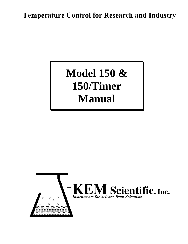### **Temperature Control for Research and Industry**

# **Model 150 & 150/Timer Manual**

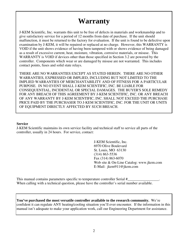## **Warranty**

J-KEM Scientific, Inc. warrants this unit to be free of defects in materials and workmanship and to give satisfactory service for a period of 12 months from date of purchase. If the unit should malfunction, it must be returned to the factory for evaluation. If the unit is found to be defective upon examination by J-KEM, it will be repaired or replaced at no charge. However, this WARRANTY is VOID if the unit shows evidence of having been tampered with or shows evidence of being damaged as a result of excessive current, heat, moisture, vibration, corrosive materials, or misuse. This WARRANTY is VOID if devices other than those specified in Section 3.2 are powered by the controller. Components which wear or are damaged by misuse are not warranted. This includes contact points, fuses and solid state relays.

THERE ARE NO WARRANTIES EXCEPT AS STATED HEREIN. THERE ARE NO OTHER WARRANTIES, EXPRESSED OR IMPLIED, INCLUDING BUT NOT LIMITED TO THE IMPLIED WARRANTIES OF MERCHANTABILITY AND OF FITNESS FOR A PARTICULAR PURPOSE. IN NO EVENT SHALL J-KEM SCIENTIFIC, INC. BE LIABLE FOR CONSEQUENTIAL, INCIDENTAL OR SPECIAL DAMAGES. THE BUYER'S SOLE REMEDY FOR ANY BREACH OF THIS AGREEMENT BY J-KEM SCIENTIFIC, INC. OR ANY BREACH OF ANY WARRANTY BY J-KEM SCIENTIFIC, INC. SHALL NOT EXCEED THE PURCHASE PRICE PAID BY THE PURCHASER TO J-KEM SCIENTIFIC, INC. FOR THE UNIT OR UNITS OF EQUIPMENT DIRECTLY AFFECTED BY SUCH BREACH.

#### **Service**

J-KEM Scientific maintains its own service facility and technical staff to service all parts of the controller, usually in 24 hours. For service, contact:

> J-KEM Scientific, Inc. 6970 Olive Boulevard St. Louis, MO 63130 (314) 863-5536 Fax (314) 863-6070 Web site & On-Line Catalog: www.jkem.com E-Mail: jkem911@jkem.com

This manual contains parameters specific to temperature controller Serial # When calling with a technical question, please have the controller's serial number available.

**You've purchased the most versatile controller available to the research community.** We're confident it can regulate ANY heating/cooling situation you'll ever encounter. If the information in this manual isn't adequate to make your application work, call our Engineering Department for assistance.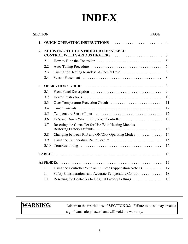# **INDEX**

| <b>SECTION</b> |                 | <b>PAGE</b>                                                                  |                |
|----------------|-----------------|------------------------------------------------------------------------------|----------------|
| 1.             |                 | QUICK OPERATING INSTRUCTIONS                                                 | $\overline{4}$ |
| 2.             |                 | <b>ADJUSTING THE CONTROLLER FOR STABLE</b><br>CONTROL WITH VARIOUS HEATERS   | 5              |
|                | 2.1             |                                                                              | 5              |
|                | 2.2             |                                                                              | 6              |
|                | 2.3             |                                                                              | 8              |
|                | 2.4             |                                                                              | 8              |
| 3.             |                 |                                                                              | 9              |
|                | 3.1             |                                                                              | 9              |
|                | 3.2             |                                                                              | 10             |
|                | 3.3             |                                                                              | 11             |
|                | 3.4             |                                                                              | 12             |
|                | 3.5             |                                                                              | 12             |
|                | 3.6             |                                                                              | 13             |
|                | 3.7             | Resetting the Controller for Use With Heating Mantles.                       | 13             |
|                | 3.8             | Changing between PID and ON/OFF Operating Modes                              | 14             |
|                | 3.9             |                                                                              | 15             |
|                | 3.10            |                                                                              | 16             |
|                |                 |                                                                              | 16             |
|                | <b>APPENDIX</b> |                                                                              | 17             |
|                | I.              | Using the Controller With an Oil Bath (Application Note 1) $\dots\dots\dots$ | 17             |
|                | II.             | Safety Considerations and Accurate Temperature Control.                      | 18             |
|                | Ш.              | Resetting the Controller to Original Factory Settings                        | 19             |

**WARNING:** Adhere to the restrictions of **SECTION 3.2**. Failure to do so may create a significant safety hazard and will void the warranty.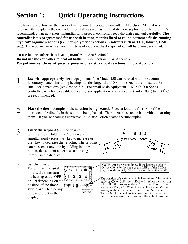## **Section 1: Quick Operating Instructions**

The four steps below are the basics of using your temperature controller. The User's Manual is a reference that explains the controller more fully as well as some of its more sophisticated features. It's recommended that new users unfamiliar with process controllers read the entire manual carefully. **The controller is preprogrammed for use with heating mantles fitted to round bottomed flasks running "typical" organic reactions (i.e., non-polymeric reactions in solvents such as THF, toluene, DMF, etc.).** If the controller is used with this type of reaction, the 4 steps below will help you get started.

**To use heaters other than heating mantles:** See Section 2. **Do not use the controller to heat oil baths:** See Section 3.2 & Appendix I. **For polymer synthesis, atypical, expensive, or safety critical reactions:** See Appendix II.

- 1 **Use with appropriately sized equipment.** The Model 150 can be used with most common laboratory heaters including heating mantles larger than 100 ml in size, but is not suited for small-scale reactions (see Section 3.2). For small-scale equipment, J-KEM's 200 Series controller, which are capable of heating any application or any volume (1ml - 100L) to  $\pm$  0.1<sup>o</sup> C are recommended.
- **Place the thermocouple in the solution being heated.** Place at least the first 1/4" of the thermocouple directly in the solution being heated. Thermocouples can be bent without harming them. If you're heating a corrosive liquid, use Teflon coated thermocouples.
- **3 Enter the setpoint** (i.e., the desired temperature). Hold in the \* button and simultaneously press the key to increase or the key to decrease the setpoint. The setpoint can be seen at anytime by holding in the \* button, the setpoint appears as a blinking number in the display.



4 **Set the timer.**<br>For units with digital timers, the timer turns the heating outlet OFF or ON depending on the position of the timer switch and whether any time is present in the display



**NOTE:** An easy way to know if the heating outlet in ON or OFF is by the state of this LED. If the LED is lit, the outlet is ON, if the LED is off the outlet is OFF

The position of the timer switch determines if the heating outlet is ON or OFF when  $TIME = 0$ . When the switch is set to OFF the heating outlet is 'off' when  $Time = 0$  and 'on' when  $Time \neq 0$ . When the switch is set to ON the heating outlet is 'on' when  $Time = 0$  and 'off' when Time  $\neq$  0. The normal switch position is ON since the timer resets to zero when the controller is first turned on.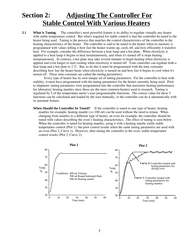### **Section 2: Adjusting The Controller For Stable Control With Various Heaters**

**2.1** What is Tuning. The controller's most powerful feature is its ability to regulate virtually any heater with stable temperature control. But what's required for stable control is that the controller be *tuned* to the heater being used. Tuning is the process that matches the control characteristics of the controller to the heating characteristics of the heater. The controller is said to be tuned to the heater when its memory is programmed with values telling it how fast the heater warms up, cools off, and how efficiently it transfers heat. For example, consider the difference between a heat lamp and a hot plate. When electricity is applied to a heat lamp it begins to heat instantaneously, and when it's turned off it stops heating instantaneously. In contrast, a hot plate may take several minutes to begin heating when electricity is applied and even longer to start cooling when electricity is turned off. Your controller can regulate both a heat lamp and a hot plate to  $1^{\circ}$  C. But, to do this it must be programmed with the time constants describing how fast the heater heats when electricity is turned on and how fast it begins to cool when it's turned off. These time constants are called the *tuning parameters*.

 Every type of heater has its own unique set of tuning parameters. For the controller to heat with stability, it must have programmed with the tuning parameters for the heater currently being used. Prior to shipment, tuning parameters were programmed into the controller that maximize heating performance for laboratory heating mantles since these are the most common heaters used in research. Tuning is regulated by 5 of the temperature meter's user programmable functions. The correct value for these 5 functions can be calculated and loaded by the user manually, or the controller can do it automatically with its autotune feature.

**When Should the Controller be Tuned?** If the controller is tuned to one type of heater, heating mantles for example, heating mantle  $(>= 100 \text{ ml})$  can be used without the need to retune. When changing from mantles to a different type of heater, an oven for example, the controller should be tuned with values describing the oven's heating characteristics. The effect of tuning is seen below. When the controller is tuned for heating mantles, using it with a heating mantle yields stable temperature control (Plot 1), but poor control results when the same tuning parameters are used with an oven (Plot 2, Curve 1). However, after tuning the controller to the oven, stable temperature control results (Plot 2, Curve 2).

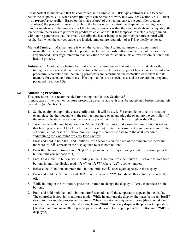It's important to understand that this controller isn't a simple ON/OFF type controller (i.e. ON when below the set point, OFF when above [though it can be made to work this way, see Section 3.8]). Rather it's a *predictive* controller. Based on the shape (slope) of the heating curve, the controller predicts (calculates) the percent of power to apply to the heater now to control the shape of the heating curve minutes in advance. The importance of the tuning parameters is that they are constants in the equation the temperature meter uses to perform its predictive calculations. If the temperature meter is programmed with tuning parameters that incorrectly describe the heater being used, poor temperature control will result. But, when the correct values are loaded, temperature regulation of  $\pm 1^{\circ}$  is typically achieved.

- **Manual Tuning.** Manual tuning is when the values of the 5 tuning parameters are determined manually then entered into the temperature meter via the push buttons on the front of the controller. Experienced users might prefer to manually tune the controller since this allows customization of the heating process.
- **Autotune.** Autotune is a feature built into the temperature meter that automatically calculates the tuning parameters (i.e. delay times, heating efficiency, etc.) for any type of heater. After the autotune procedure is complete and the tuning parameters are determined, the controller loads them into its memory for current and future use. Heating mantles are a special case and are covered in a separate paragraph (Section 2.3).

#### **2.2 Autotuning Procedure.**

 This procedure is not recommended for heating mantles (see Section 2.3). In most cases if the over temperature protection circuit is active, it must be inactivated before starting this procedure (see Section 3.3).

- 1. Set the equipment up in the exact configuration it will be used. For example, to tune to a vacuum oven, place the thermocouple in the room temperature oven and plug the oven into the controller. If the oven (or heater) has its own thermostat or power control, turn both as high as they'll go.
- 2. Turn the controller and heater on. For Model 150/Timer units, make sure the timer switch is set so that heating is on (i.e., LED 11 is lit; see Section 3.4). Enter the desired set point temperature. If the set point isn't at least  $30^{\circ}$ C above ambient, skip this procedure and go to the next procedure, "Autotuning the Controller for Very Fine Control"
- 3. Press and hold in both the and buttons (for 3 seconds) on the front of the temperature meter until the word "**tunE**" appears in the display then release both buttons.
- 4. Press the button (5 times) until "**CyC.t**" appears in the display (if you go past this setting, press the button until you get back to it).
- 5. First, hold in the '\*' button, while holding in the '\*' button press the button. Continue to hold both buttons in until the display reads "**A --**", or "**A ##**" where "**##**" is some number.
- 6. Release the '\*' button and press the button until "**tunE**" once again appears in the display.
- 7. Press and hold the '\*' button and "**tunE**" will change to "**off**" to indicate that autotune is currently off.
- 8. While holding in the '\*' button, press the button to change the display to "**on**", then release both buttons.
- 9. Press and hold both the and buttons (for 3 seconds) until the temperature appears in the display. The controller is now in its autotune mode. While in autotune the display alternates between "**tunE**" (for autotune) and the process temperature. When the autotune sequence is done (this may take in excess of an hour) the controller stops displaying "**tunE**" and only displays the process temperature. [To abort autotune manually, repeat steps 3, 8 and 9 except in step 8, press the button until "**off**" is displayed].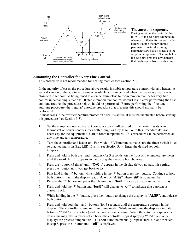

#### **The autotune sequence.**

During autotune the controller heats to 75% of the set point temperature, where it oscillates for several cycles before loading the new tuning parameters. After the tuning parameters are loaded it heats to the set point temperature. Tuning below the set point prevents any damage that might occur from overheating.

#### **Autotuning the Controller for Very Fine Control.**

This procedure is not recommended for heating mantles (see Section 2.3).

 In the majority of cases, the procedure above results in stable temperature control with any heater. A second version of the autotune routine is available and can be used when the heater is already at or close to the set point, is being tuned at a temperature close to room temperature, or for very fine control in demanding situations. If stable temperature control doesn't result after performing the first autotune routine, the procedure below should be performed. Before performing the 'fine tune' autotune procedure, the 'regular' autotune procedure that precedes this should normally be performed.

 In most cases if the over temperature protection circuit is active, it must be inactivated before starting this procedure (see Section 3.3).

- 1. Set the equipment up in the exact configuration it will be used. If the heater has its own thermostat or power controls, turn both as high as they'll go. With this procedure it's not necessary for the equipment to start at room temperature. This procedure can be performed at any time and any temperature.
- 2. Turn the controller and heater on. For Model 150/Timer units, make sure the timer switch is set so that heating is on (i.e., LED 11 is lit; see Section 3.4). Enter the desired set point temperature.
- 3. Press and hold in both the and buttons (for 3 seconds) on the front of the temperature meter until the word "**tunE**" appears in the display then release both buttons.
- 4. Press the button (5 times) until "**CyC.t**" appears in the display (if you go past this setting, press the button until you get back to it).
- 5. First hold in the '\*' button, while holding in the '\*' button press the button. Continue to hold both buttons in until the display reads "**A --**", or "**A ##**" where "**##**" is some number.
- 6. Release the '\*' button and press the button until "**tunE**" once again appears in the display.
- 7. Press and hold the '\*' button and "**tunE**" will change to "**off**" to indicate that autotune is currently off.
- 8. While holding in the '\*' button, press the button to change the display to "**At.SP**", and release both buttons.
- 9. Press and hold both the and buttons (for 3 seconds) until the temperature appears in the display. The controller is now in its autotune mode. While in autotune the display alternates between "**tunE**" (for autotune) and the process temperature. When the autotune sequence is done (this may take in excess of an hour) the controller stops displaying "**tunE**" and only displays the process temperature. [To abort autotune manually, repeat steps 3, 8 and 9 except in step 8, press the button until "**off**" is displayed].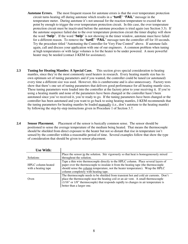- **Autotune Errors.** The most frequent reason for autotune errors is that the over temperature protection circuit turns heating off during autotune which results in a "**tunE**" "**FAiL**" message in the temperature meter. During autotune it's not unusual for the reaction temperature to exceed the set point by enough to trigger the over temperature protection circuit. In this case, the over temperature protection circuit must be inactivated before the autotune procedure is tried again (see Section 3.3). If the autotune sequence failed due to the over temperature protection circuit the timer display will show the word "**help**". If the word "**help**" is not showing in the timer window, autotune must have failed for a different reason. To remove the "**tunE**" "**FAiL**" message turn the controller off for 10 seconds. Try the procedure titled "Autotuning the Controller for Very Fine Control" above. If autotune fails again, call and discuss your application with one of our engineers. A common problem when tuning at high temperatures or with large volumes is for the heater to be under powered. A more powerful heater may be needed (contact J-KEM for assistance).
- **2.3 Tuning for Heating Mantles: A Special Case.** This section gives special consideration to heating mantles, since they're the most commonly used heaters in research. Every heating mantle size has its own optimum set of tuning parameters and if you wanted, the controller could be tuned (or autotuned) every time a different size was used. However, this is cumbersome and is also unnecessary. Factory tests show that there's one set of tuning parameters that delivers good performance for all heating mantle sizes. These tuning parameters were loaded into the controller at the factory prior to your receiving it. If you're using a heating mantle and none of the parameters have been changed or the controller hasn't been autotuned since you've received it, you're ready to go. If the tuning parameters have been changed or the controller has been autotuned and you want to go back to using heating mantles, J-KEM recommends that the tuning parameters for heating mantles be loaded manually (i.e., don't autotune to the heating mantle) by following the step-by-step instructions given in Procedure 1 of Section 3.7.
- **2.4 Sensor Placement.** Placement of the sensor is basically common sense. The sensor should be positioned to sense the average temperature of the medium being heated. That means the thermocouple should be shielded from direct exposure to the heater but not so distant that rise in temperature isn't sensed by the controller within a reasonable period of time. Several examples follow that show the type of consideration that should be given to sensor placement.

| <b>Use With:</b>                          |                                                                                                                                                                                                                                                                                                     |
|-------------------------------------------|-----------------------------------------------------------------------------------------------------------------------------------------------------------------------------------------------------------------------------------------------------------------------------------------------------|
|                                           | Place the sensor in the solution. Stir vigorously so that heat is homogeneously mixed                                                                                                                                                                                                               |
| <b>Solutions</b>                          | throughout the solution.                                                                                                                                                                                                                                                                            |
| HPLC column heated<br>with a heating tape | Tape a thin wire thermocouple directly to the HPLC column. Place several layers of<br>paper over the thermocouple to insulate it from the heating tape (the thermocouple<br>should sense the column temperature, not the heater temperature). Wrap the HPLC<br>column completely with heating tape. |
| Oven                                      | The thermocouple needs to be shielded from transient hot and cold air currents. Don't<br>place the thermocouple near the heating coil or an air vent. A small thermocouple<br>(1/16" or 1/8" thermocouple) that responds rapidly to changes in air temperature is<br>better than a larger one.      |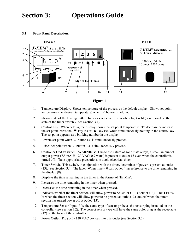### **Section 3: Operations Guide**

#### **3.1 Front Panel Description.**





- 1. Temperature Display. Shows temperature of the process as the default display. Shows set point temperature (i.e. desired temperature) when '\*' button is held in.
- 2. Shows state of the heating outlet. Indicates outlet #13 is on when light is lit (conditional on the state of the timer switch 7, see Section 3.4).
- 3. Control Key. When held in, the display shows the set point temperature. To decrease or increase the set point, press the ' $\nabla$ ' key (4) or ' $\blacktriangle$ ' key (5), while simultaneously holding in the control key. The set point appears as a blinking number in the display.
- 4. Lowers set point when '\*' button (3) is simultaneously pressed.
- 5. Raises set point when '\*' button (3) is simultaneously pressed.
- 6. Controller On/Off switch. **WARNING:** Due to the nature of solid state relays, a small amount of output power (7.5 mA @ 120 VAC; 0.9 watts) is present at outlet 13 even when the controller is turned off. Take appropriate precautions to avoid electrical shock.
- 7. Timer Switch. This switch, in conjunction with the timer, determines if power is present at outlet (13). See Section 3.4. The label 'When time = 0 turn outlet:' has reference to the time remaining in the display (8).
- 8. Displays the time remaining in the timer in the format of 'Hr:Min'.
- 9. Increases the time remaining in the timer when pressed.
- 10. Decreases the time remaining in the timer when pressed.
- 11. Indicates whether the timer section will allow power to be ON or OFF at outlet (13). This LED is lit when the timer section will allow power to be present at outlet (13) and off when the timer section has turned power off at outlet (13).
- 12. Temperature Sensor Input. Use the same type of sensor probe as the sensor plug installed on the controller (see Section 3.2). The correct sensor type will have the same color plug as the receptacle (12) on the front of the controller.
- 13. Power Outlet. Plug only 120 VAC devices into this outlet (see Section 3.2).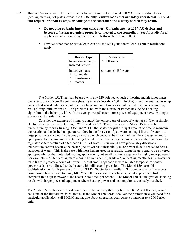- **3.2 Heater Restrictions.** The controller delivers 10 amps of current at 120 VAC into resistive loads (heating mantles, hot plates, ovens, etc.). **Use only resistive loads that are safely operated at 120 VAC and require less than 10 amps or damage to the controller and a safety hazard may result.**
	- **Do not plug oil baths into your controller. Oil baths are not 120 VAC devices and become a fire hazard unless properly connected to the controller.** (See Appendix for an application note describing the use of oil baths with this controller).
	- Devices other than resistive loads can be used with your controller but certain restrictions apply.

| <b>Device Type</b>                                                     | <b>Restrictions</b>      |
|------------------------------------------------------------------------|--------------------------|
| Incandescent lamps                                                     | $\leq 700$ watts         |
| Infrared heaters                                                       |                          |
| Inductive loads:<br>∗<br>solenoids<br>transformers<br>∗<br>∗<br>motors | $\leq$ 4 amps; 480 watts |

 The Model 150/Timer can be used with any 120 volt heater such as heating mantles, hot plates, ovens, etc. but with small equipment (heating mantels less than 100 ml in size) or equipment that heats up and cools down slowly (some hot plates) a large amount of over shoot of the entered temperature may result during initial warm up. The problem is not with the controller (which has the best heating algorithm in the industry), it's with the over-powered heaters some pieces of equipment have. A simple example will clarify this point.

Consider the example of trying to control the temperature of a pot of water at  $80^{\circ}$  C on a simple electric stove by manually turning it "ON" and "OFF". This is the way the Model 150 controls temperature by rapidly turning "ON" and "OFF" the heater for just the right amount of time to maintain the reaction at the desired temperature. Now in the first case, if you were heating 4 liters of water in a large pan, the stove would do a pretty reasonable job because the amount of heat the stove generates is appropriate for the amount of water being heated. Now imagine you attempted to use the same stove to regulate the temperature of a teaspoon (1 ml) of water. You would have predictably disastrous temperature control because the heater (the stove) has substantially more power than is needed to heat a teaspoon of water. This is the case with most heaters used in research. Large heaters tend to be powered appropriately for their intended heating applications, but small heaters are generally highly over powered. For example, a 5-liter heating mantle has 0.12 watts per ml, while a 5 ml heating mantle has 9.6 watts per ml, a 80-fold greater amount of power. To heat small applications with reliable temperature control, power needs to be adjusted to the heater with millisecond precision. The Model 150 lacks this sophistication, which is present only in J-KEM's 200 Series controllers. To compensate for the excess power small heaters tend to have, J-KEM's 200 Series controllers have a patented power control computer that adjusts power to the heater 2048 times per second. The Model 150 should give outstanding results with larger pieces of equipment where heating power and heat required are closely matched.

The Model 150 is the second best controller in the industry the very best is J-KEM's 200 series, which has none of the limitations listed above. If the Model 150 doesn't deliver the performance you need for a particular application, call J-KEM and inquire about upgrading your current controller to a 200 Series unit.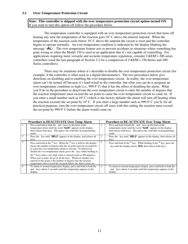#### **Note: This controller is shipped with the over temperature protection circuit option turned ON.**  If you want to turn this option off follow the procedure below.

 The temperature controller is equipped with an over-temperature protection circuit that turns off heating any time the temperature of the reaction goes  $10^{\circ}$  C above the entered setpoint. When the temperature of the reaction cools below  $10^{\circ}$ C above the setpoint the circuit is reset and the controller begins to operate normally. An over temperature condition is indicated by the display blinking the message '**-AL-**'. The over temperature feature acts to prevent accidents in situations where something has gone wrong or when the Model 150 is used in an application that it's not capable of controlling. For applications requiring more versatile and accurate temperature regulation, consider J-KEM's 200 series controllers (read the last paragraph of Section 3.2 for a comparison of J-KEM's 150-Series and 200- Series controllers).

 There may be situations where it's desirable to disable the over temperature protection circuit (for example, if the controller is often used as a digital thermometer). The two procedures below give directions on disabling and re-enabling the over temperature circuit. In reality, the over-temperature alarm can't be turned off because it's hard-wired in the controller, but what you can do is program an over-temperature condition so high (i.e., 999.9°C) that it has the effect of disabling the alarm. What you'll do in the procedure to deactivate the over temperature circuit is enter the number of degrees that the reaction temperature must exceed the set point to cause the over-temperature circuit to come on. If you enter a small number such as  $10^{\circ}$  C (which is the factory default) the alarm will turn off heating when the reaction exceeds the set point by  $10^{\circ}$  C. If you enter a large number such as 999.9 $^{\circ}$  C you'll, for all practical purposes, turn the over-temperature circuit off since with this setting the reaction must exceed the set point by  $999.9^{\circ}$  C before the alarm would come on.

| <b>Procedure to DEACTIVATE Over Temp Alarm</b>                                                                                                                                                                                                                                                                                                                                                                                                                                                                                                                             | <b>Procedure to RE-ACTIVATE Over Temp Alarm</b>                                                                                                                                                          |
|----------------------------------------------------------------------------------------------------------------------------------------------------------------------------------------------------------------------------------------------------------------------------------------------------------------------------------------------------------------------------------------------------------------------------------------------------------------------------------------------------------------------------------------------------------------------------|----------------------------------------------------------------------------------------------------------------------------------------------------------------------------------------------------------|
| Press and hold in both the and keys on the front of the<br>temperature meter until the word "tunE" appears in the display,<br>then release both keys. This places the controller in programming<br>mode.                                                                                                                                                                                                                                                                                                                                                                   | Press and hold in both the and keys on the front of the<br>temperature meter until the word "tunE" appears in the display,<br>then release both keys. This places the controller in programming<br>mode. |
| Press the key until "SEt.2" appears in the display, and release all<br>keys.                                                                                                                                                                                                                                                                                                                                                                                                                                                                                               | Press the key until "SEt.2" appears in the display, then release all<br>keys.                                                                                                                            |
| Press and hold in the $*$ key. When the $*$ key is held in, the display<br>shows the number of degrees that the set point must be exceeded by<br>to cause the over-temperature alarm to activate. To effectively<br>disable the over-temperature alarm, press the key (while holding in<br>the $*$ key) until a very high value is entered (such as 900 degrees).<br>When you're done, let go of all the keys. Whatever number you<br>entered at this point is the number of degrees that the reaction<br>temperature must exceed the set point before the alarm comes on. | Press and hold in the $*$ key. While holding in the $*$ key, press the<br>key until the display shows <b>10.0</b> , then release both keys.                                                              |
| To return to normal temperature display, press and hold in both the<br>and keys (about 3 seconds) until the temperature appears in the<br>display.                                                                                                                                                                                                                                                                                                                                                                                                                         | To return to normal temperature display, press and hold in both the<br>and keys (about 3 seconds) until the temperature appears in the<br>display.                                                       |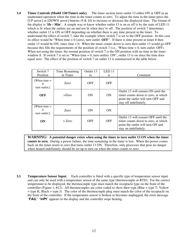**3.4 Timer Controls (Model 150/Timers only).** The timer section turns outlet 13 either ON or OFF in an unattended operation when the time in the timer counts to zero. To adjust the time in the timer press the [UP arrow] or [DOWN arrow] buttons  $(9 \& 10)$  to increase or decrease the displayed time. The format of the display is '**Hr : Min**'. A simple way to know whether outlet 13 is on or off is by the state of LED 11 which is lit when the outlets are on and not lit when they're off. The position of switch 7 determines whether outlet 13 is ON or OFF depending on whether there is any time present in the timer. To understand the effect of switch 7, take the example where switch 7 is set to the OFF position. In this case its effect would be "When time  $= 0$  (zero), turn outlet: **OFF**". If there is time present in timer 8 then outlet 13 would be ON, since time  $\neq 0$ . When the timer counts down to zero then outlet 13 would go OFF because this fills the requirements of the position of switch 7 (i.e., 'When time = 0, turn outlet: OFF). When not using the timer, the normal position of switch 7 is the ON position with no time in the timer window 8. If switch 7 is set to "When time  $= 0$ , turn outlets: ON", outlet 13 is on since the time does equal zero. The effect of the position of switch 7 on outlet 13 is summarized in the table below.

| Switch 7<br>Position                        | Time Remaining<br>in Timer | Outlet 13<br>$i$ s: | LED <sub>11</sub><br><sup>is</sup> | Comment                                                                                                                                   |
|---------------------------------------------|----------------------------|---------------------|------------------------------------|-------------------------------------------------------------------------------------------------------------------------------------------|
| [When time $=$<br>$\Omega$<br>turn outlet:1 | Zero                       | <b>OFF</b>          | <b>OFF</b>                         |                                                                                                                                           |
| <b>OFF</b>                                  | $>$ Zero                   | ON                  | ON                                 | Outlet 13 will remain ON until the<br>timer counts down to zero, at which<br>point the outlet will turn OFF and<br>stay off indefinitely. |
| [When time $=$<br>$\theta$<br>turn outlet:] | Zero                       | ON                  | ON                                 |                                                                                                                                           |
| <b>ON</b>                                   | $>$ Zero                   | <b>OFF</b>          | <b>OFF</b>                         | Outlet 13 will remain OFF until the<br>timer counts down to zero, at which<br>point the outlet will turn ON and<br>stay on indefinitely.  |

 **WARNING: A potential danger exists when using the timer to turn outlet 13 ON when the timer counts to zero.** During a power failure, the time remaining in the timer is lost. When the power comes back on the timer resets to zero that turns outlet 13 ON. Therefore, only processes that pose no danger when heated indefinitely should be set up to turn on when the timer counts to zero.

**3.5 Temperature Sensor Input.** Each controller is fitted with a specific *type* of temperature sensor input and can only be used with a temperature sensor of the same type (thermocouple or RTD). For the correct temperature to be displayed, the thermocouple type must match the receptacle type on the front of the controller (Figure 1; #12). All thermocouples are color coded to show their type (Blue = type T; Yellow  $=$  type K; Black  $=$  type J). The color of the thermocouple plug must match the color of the receptacle on the front of the controller. If the temperature sensor is broken or becomes unplugged, the error message "**FAiL**" "**inPt**" appears in the display and the controller stops heating.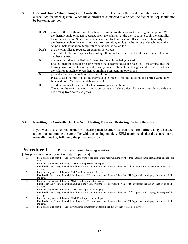#### **3.6 Do's and Don'ts When Using Your Controller.** The controller, heater and thermocouple form a closed loop feedback system. When the controller is connected to a heater, the feedback loop should not be broken at any point.

| Don't          | remove either the thermocouple or heater from the solution without lowering the set point. With<br>the thermocouple or heater separated from the solution, as the thermocouple cools the controller<br>turns the heater on. Since this heat is never fed back to the controller it heats continuously. If<br>the thermocouple or heater is removed from solution, unplug the heater or preferably lower the<br>set point below the room temperature so no heat is called for. |
|----------------|-------------------------------------------------------------------------------------------------------------------------------------------------------------------------------------------------------------------------------------------------------------------------------------------------------------------------------------------------------------------------------------------------------------------------------------------------------------------------------|
| Don't          | use the controller to regulate an exothermic process.<br>The controller has no capacity for cooling. If an exotherm is expected, it must be controlled in<br>another manner.                                                                                                                                                                                                                                                                                                  |
| Do             | use an appropriate size flask and heater for the volume being heated.<br>Use the smallest flask and heating mantle that accommodates the reaction. This ensures that the<br>heating power of the heating mantle closely matches the volume being heated. This also allows<br>the solution to radiate excess heat to minimize temperature overshoots.                                                                                                                          |
| D <sub>0</sub> | place the thermocouple directly in the solution.<br>Place at least the first 1/4" of the thermocouple directly into the solution. If a corrosive mixture<br>is heated, use a Teflon-coated thermocouple.                                                                                                                                                                                                                                                                      |
| Do             | avoid exposure of the controller to corrosive gases and liquids.<br>The atmosphere of a research hood is corrosive to all electronics. Place the controller outside the<br>hood away from corrosive gases.                                                                                                                                                                                                                                                                    |

#### **3.7 Resetting the Controller for Use With Heating Mantles. Restoring Factory Defaults.**

If you want to use your controller with heating mantles after it's been tuned for a different style heater, rather than autotuning the controller with the heating mantle, J-KEM recommends that the controller be manually tuned by following the procedure below.

#### **Procedure 1.** Perform when using heating mantles.

[This procedure takes about 2 minutes to perform]

| -1. | Press and hold in both the and keys on the front of the temperature meter until the word "tunE" appears in the display, then release both<br>keys.                                                                                        |
|-----|-------------------------------------------------------------------------------------------------------------------------------------------------------------------------------------------------------------------------------------------|
| 2.  | Press the key once and the word " <b>bAnd</b> " will appear in the display.<br>First hold in the '*' key, then while holding in the *' key press the or key until the value "10" appears in the display, then let go of all<br>the keys.  |
| 3.  | Press the key once and the word " <b>int.t</b> " will appear in the display.<br>First hold in the '*' key, then while holding in the *' key press the or key until the value "10" appears in the display, then let go of all<br>the keys. |
| 4.  | Press the key once and the word " <b>dEr.t</b> " will appear in the display.<br>First hold in the '*' key, then while holding in the *' key press the or key until the value "50" appears in the display, then let go of all<br>the keys. |
| 5.  | Press the key once and the word " <b>dAC</b> " will appear in the display.<br>First hold in the '*' key, then while holding in the *' key press the or key until the value "5.0" appears in the display, then let go of all<br>the keys.  |
| 6.  | Press the key once and the word "CyC.t" will appear in the display.<br>First hold in the '*' key, then while holding in the *' key press the or key until the value "30" appears in the display, then let go of all<br>the keys.          |
| 7.  | Press and hold in both the and keys until the temperature appears in the display, then release both keys.                                                                                                                                 |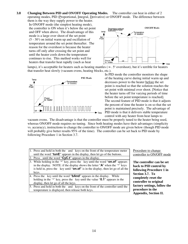**3.8 Changing Between PID and ON/OFF Operating Modes.** The controller can heat in either of 2 operating modes, PID (Proportional, Integral, Derivative) or ON/OFF mode. The difference between

them is the way they supply power to the heater. In ON/OFF mode (the simplest heating mode), the controller is ON when it's below the set point and OFF when above. The disadvantage of this mode is a large over shoot of the set point  $(5 - 30^{\circ})$  on initial warm up and oscillation of temperature around the set point thereafter. The reason for the overshoot is because the heater turns off only after crossing the set point and until the heater cools down the temperature continues to rise. This method works well for heaters that transfer heat rapidly (such as heat

lamps), it's acceptable for heaters such as heating mantles ( $\approx$  . 5° overshoot), but it's terrible for heaters that transfer heat slowly (vacuum ovens, heating blocks, etc.).

Temp



In PID mode the controller monitors the shape of the heating curve during initial warm up and decreases power to the heater before the set point is reached so that the solution reaches the set point with minimal over shoot. [Notice that the heater turns off for varying periods of time before the set point temperature is reached]. The second feature of PID mode is that it adjusts the percent of time the heater is on so that the set point is maintained precisely. The advantage of PID mode is that it delivers stable temperature control with any heater from heat lamps to

vacuum ovens. The disadvantage is that the controller must be properly tuned to the heater being used, whereas ON/OFF mode requires no tuning. Since both heating modes have their advantages (simplicity vs. accuracy), instructions to change the controller to ON/OFF mode are given below (though PID mode will probably give better results 95% of the time). The controller can be set back to PID mode by following Procedure 1 in Section 3.7.

| 1. Press and hold in both the and keys on the front of the temperature meter                  |  |
|-----------------------------------------------------------------------------------------------|--|
| until the word " $tunE$ " appears in the display, then let go of the buttons.                 |  |
| 2. Press until the word " $Cyc.t$ " appears in the display.                                   |  |
| 3. While holding in the '*' key, press the key until the word " <b>on.of</b> " appears        |  |
| in the display. NOTE: if the display shows the letter " $A$ " when the '*' keys               |  |
| is held in, press the key until " $\text{on. of}$ " is in the display, then let go of all the |  |
| keys.                                                                                         |  |
| 4. Press the key until the word " <b>bAnd</b> " appears in the display. While                 |  |
| holding in the '*' key, press the key until the value "0.1" appears in the                    |  |
| display, then let go of all the keys.                                                         |  |
| 5. Press and hold in both the and keys on the front of the controller until the               |  |
| temperature is displayed, then release both keys.                                             |  |
|                                                                                               |  |

Procedure to change controller to ON/OFF mode

**The controller can be set back to PID control by following Procedure 1 in Section 3.7. To completely reset the controller to original factory settings, follow the procedure in the Appendix, Section II.** 



erature continues<br>until the heater

**ON/OFF Mode** 

 $\blacktriangleright$  Time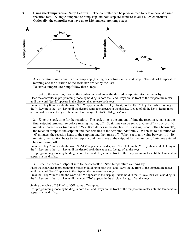**3.9** Using the Temperature Ramp Feature. The controller can be programmed to heat or cool at a user specified rate. A single temperature ramp step and hold step are standard in all J-KEM controllers. Optionally, the controller can have up to 126 temperature ramps steps.



A temperature ramp consists of a ramp step (heating or cooling) and a soak step. The rate of temperature ramping and the duration of the soak step are set by the user. To start a temperature ramp follow these steps.

1. Set up the reaction, turn on the controller, and enter the desired ramp rate into the meter by:

Place the controller in programming mode by holding in both the and keys on the front of the temperature meter until the word "**tunE**" appears in the display, then release both keys.

Press the key 8 times until the word "**SPrr**" appears in the display. Next, hold in the '\*' key, then while holding in the '\*' key press the or key until the desired ramp rate appears in the display. Let go of all the keys. Ramp rates are entered in units of degrees/hour and has a range of 0 to 9900 degrees/hour.

2. Enter the soak time for the reaction. The soak time is the amount of time the reaction remains at the final setpoint temperature before turning heating off. Soak time can be set to a value of "- -", or 0-1440 minutes. When soak time is set to "--" (two dashes in the display. This setting is one setting below '0'), the reaction ramps to the setpoint and then remains at the setpoint indefinitely. When set to a duration of '0' minutes, the reaction heats to the setpoint and then turns off. When set to any value between 1-1440 minutes, the reaction heats to the setpoint and then stays at the setpoint for the number of minutes entered before turning off.

Press the key 2 times until the word "**SoAk**" appears in the display. Next, hold in the '\*' key, then while holding in the '\*' key press the or key until the desired soak time appears. Let go of all the keys.

Exit programming mode by holding in both the and keys on the front of the temperature meter until the temperature appears in the display.

3. Enter the desired setpoint into to the controller. Start temperature ramping by:

Place the controller in programming mode by holding in both the and keys on the front of the temperature meter until the word "**tunE**" appears in the display, then release both keys.

Press the key 9 times until the word "**SPrn**" appears in the display. Next, hold in the '\*' key, then while holding in the '\*' key press the or key until the word "**On**" appears in the display. Let go of all the keys.

Setting the value of "**SPrn**" to "**Off**" turns off ramping.

Exit programming mode by holding in both the and keys on the front of the temperature meter until the temperature appears in the display.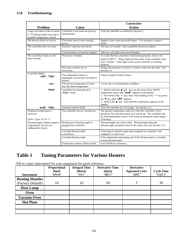|                                                                                                                        |                                                                            | <b>Corrective</b>                                                                                                                                                                                                           |
|------------------------------------------------------------------------------------------------------------------------|----------------------------------------------------------------------------|-----------------------------------------------------------------------------------------------------------------------------------------------------------------------------------------------------------------------------|
| Problem                                                                                                                | <b>Cause</b>                                                               | <b>Action</b>                                                                                                                                                                                                               |
| Large over shoot of the set point<br>$($ > 3 <sup>o</sup> ) during initial warm-up or<br>unstable temperature control. | Controller is not tuned for process<br>being heated.                       | Tune the controller as outlined in Section 2.                                                                                                                                                                               |
| The process heats too slowly.                                                                                          | The heater doesn't have enough<br>power.                                   | Replace with a more powerful heater. For assistance contact J-<br>KEM.                                                                                                                                                      |
| The controller does not come<br>on.                                                                                    | Internal 2 amp fuse has blown.                                             | Not user serviceable. Have qualified electrician replace.                                                                                                                                                                   |
|                                                                                                                        | Circuit breaker on back has tripped.                                       | Allow to cool, then reset circuit breaker.                                                                                                                                                                                  |
| The controller comes on, but                                                                                           | The heater is broken.                                                      | To verify that the controller is functioning properly, enter a set                                                                                                                                                          |
| does not heat.                                                                                                         |                                                                            | point of 100 <sup>o</sup> C. Plug a light into the outlet of the controller, then<br>wait 1 minute. If the light comes on the controller is working<br>properly.                                                            |
|                                                                                                                        | The timer controls are set<br>incorrectly.                                 | Change the position of switch 7 or enter a time into the timer. See<br>Section 3.4                                                                                                                                          |
| Controller blinks:<br>"inPt" "FAiL"                                                                                    | The temperature sensor is<br>unplugged, excessively corroded or<br>broken. | Clean or replace broken sensor.                                                                                                                                                                                             |
| "-AL-"                                                                                                                 | The process temperature is hotter<br>than the alarm temperature.           | Correct the over temperature condition.                                                                                                                                                                                     |
| "PArk"                                                                                                                 | Controller has been placed in<br>"Park" mode.                              | 1. Hold in both the $\triangle$ and keys on the front of the J-KEM<br>temperature meter until "tunE" appears in the display.<br>2. First hold in the "*" key, then while holding in the "*" key press                       |
|                                                                                                                        |                                                                            | the $\nabla$ key until " $o$ FF" appears.<br>3. Hold in the $\triangle$ and keys until the temperature appears in the<br>display.                                                                                           |
| "tunE" "FAiL"                                                                                                          | Autotune routine failed.                                                   | Turn off controller for 10 seconds. See Section 2.2.                                                                                                                                                                        |
| Displayed temperature is<br>incorrect.<br>[Note: Types 'K' $\&$ 'J'                                                    | The controller has not warmed-up.                                          | The display temperature reads low when the controller is first<br>turned on, but will self-correct as it warms up. The controller can<br>be used immediately since it will warm up during the initial stages<br>of heating. |
| Thermocouples display negative<br>temperatures, but are not<br>calibrated for them]                                    | Wrong type of thermocouple is<br>plugged into controller.                  | Thermocouples are color-coded. Thermocouple plug and<br>thermocouple receptacle must be the same color (see Section 3.2).                                                                                                   |
|                                                                                                                        | Corroded thermocouple<br>connections.                                      | Clean plug on thermocouple and receptacle on controller with<br>sandpaper or steel wool.                                                                                                                                    |
|                                                                                                                        | Corroded thermocouple.                                                     | If the temperature-measuring end of the thermocouple is corroded,<br>discard thermocouple.                                                                                                                                  |
|                                                                                                                        | Temperature display offset needed.                                         | Call J-KEM for assistance.                                                                                                                                                                                                  |

### **Table 1 Tuning Parameters for Various Heaters**

Fill in values determined for your equipment for quick reference.

| <b>Instrument</b>      | <b>Proportional</b><br><b>Band</b><br>"bAnd" | <b>Integral Time</b><br>(Reset)<br>"int.t" | <b>Derivative Time</b><br>(Rate)<br>"dEr.t" | <b>Derivative</b><br><b>Approach Cont.</b><br>"dAC" | Cycle Time<br>"CyC.t" |
|------------------------|----------------------------------------------|--------------------------------------------|---------------------------------------------|-----------------------------------------------------|-----------------------|
|                        |                                              |                                            |                                             |                                                     |                       |
| <b>Heating Mantles</b> |                                              |                                            |                                             |                                                     |                       |
| (Factory Default)      | 10                                           | 10                                         | 50                                          | 5                                                   | 30                    |
| <b>Heat Lamp</b>       |                                              |                                            |                                             |                                                     |                       |
| Oven                   |                                              |                                            |                                             |                                                     |                       |
| <b>Vacuum Oven</b>     |                                              |                                            |                                             |                                                     |                       |
| <b>Hot Plate</b>       |                                              |                                            |                                             |                                                     |                       |
|                        |                                              |                                            |                                             |                                                     |                       |
|                        |                                              |                                            |                                             |                                                     |                       |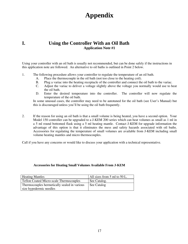### **Appendix**

#### **I. Using the Controller With an Oil Bath Application Note #1**

Using your controller with an oil bath is usually not recommended, but can be done safely if the instructions in this application note are followed. An alternative to oil baths is outlined in Point 2 below.

- 1. The following procedure allows your controller to regulate the temperature of an oil bath.
	- A. Place the thermocouple in the oil bath (not too close to the heating coil).
	- B. Plug a variac into the heating receptacle of the controller and connect the oil bath to the variac.
	- C. Adjust the variac to deliver a voltage slightly above the voltage you normally would use to heat the oil bath.
	- D. Enter the desired temperature into the controller. The controller will now regulate the temperature of the oil bath.

 In some unusual cases, the controller may need to be autotuned for the oil bath (see User's Manual) but this is discouraged unless you'll be using the oil bath frequently.

2. If the reason for using an oil bath is that a small volume is being heated, you have a second option. Your Model 150 controller can be upgraded to a J-KEM 200 series which can heat volumes as small as 1 ml in a 5 ml round bottomed flask using a 5 ml heating mantle. Contact J-KEM for upgrade information the advantage of this option is that it eliminates the mess and safety hazards associated with oil baths. Accessories for regulating the temperature of small volumes are available from J-KEM including small volume heating mantles and micro thermocouples.

Call if you have any concerns or would like to discuss your application with a technical representative.

#### **Accessories for Heating Small Volumes Available From J-KEM**

| <b>Heating Mantles</b>                         | All sizes from 5 ml to 50 L. |
|------------------------------------------------|------------------------------|
| <b>Teflon Coated Micro-scale Thermocouples</b> | See Catalog.                 |
| Thermocouples hermetically sealed in various   | See Catalog                  |
| size hypodermic needles                        |                              |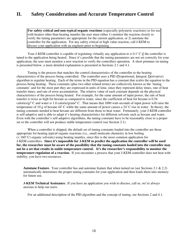### **II. Safety Considerations and Accurate Temperature Control**

**For safety critical and non-typical organic reactions** (especially polymeric reactions) or for use with heaters other than heating mantles the user must either 1) monitor the reaction closely to verify the tuning parameters are appropriate for the current application, or 2) autotune the controller for the application. For any safety critical or high value reaction, call J-KEM to discuss your application with an engineer prior to beginning.

Your J-KEM controller is capable of regulating virtually any application to  $\pm$  0.1° C if the controller is tuned to the application being heated. Since it's possible that the tuning parameters are not set correctly for your application, the user must monitor a new reaction to verify the controllers operation. A short primmer on tuning is presented below, a more detailed explanation is presented in Sections 2.1 and 4.1.

 Tuning is the process that matches the control characteristics of the controller to the heating characteristics of the process being controlled. The controller uses a PID (Proportional, Integral, Derivative) algorithm to regulate heating. Each of the terms in the PID equation has a constant that *scales* the equation to the process being heating. These constants (plus two other related terms) are collectively known as the 'tuning constants' and for the most part they are expressed in units of time, since they represent delay times, rate of heat transfer times, and rate of error accumulation. The relative value of each constant depends on the physical characteristics of the process being heated. For example, for the same amount of input power, the rate of heat transfer is twice as high for hexane as compared to water, since the coefficient of heat for hexane is 0.54 calories/ $g^{\circ}$  C and water is 1.0 calorie/gram/ $^{\circ}$  C. That means that 1000 watt-seconds of input power will raise the temperature of 10 g of hexane  $44^{\circ}$  C while the same amount of power causes a  $24^{\circ}$  C rise in water. In theory, the tuning constants needed to heat hexane are different from those to heat water. Fortunately, your J-KEM controller is self-adaptive and is able to adapt it's heating characteristics for different solvents such as hexane and water. Even with the controller's self-adaptive algorithms, the tuning constants have to be reasonably close to a proper set or the controller will not produce stable temperature control (see Section 2.1).

 When a controller is shipped, the default set of tuning constants loaded into the controller are those appropriate for heating *typical* organic reactions (i.e., small molecule chemistry in low boiling  $(< 160° \text{ C})$  organic solvents) using heating mantles, since this is the most common application for J-KEM controllers. **Since it's impossible for J-KEM to predict the application the controller will be used for, the researcher must be aware of the possibility that the tuning constants loaded into the controller may not be a set that results in stable temperature control. It's the researcher's responsibility to monitor the temperature regulation of a reaction.** If you encounter a process that your J-KEM controller does not heat with stability, you have two resources.

**Autotune Feature.** Your controller has and autotune feature that when turned on (see Sections 2.1 & 2.2) automatically determines the proper tuning constants for your application and then loads them into memory for future use.

**J-KEM Technical Assistance.** If you have an application you wish to discuss, call us, we're always anxious to help our users.

For an additional description of the PID algorithm and the concept of tuning, see Sections 2 and 4.1.